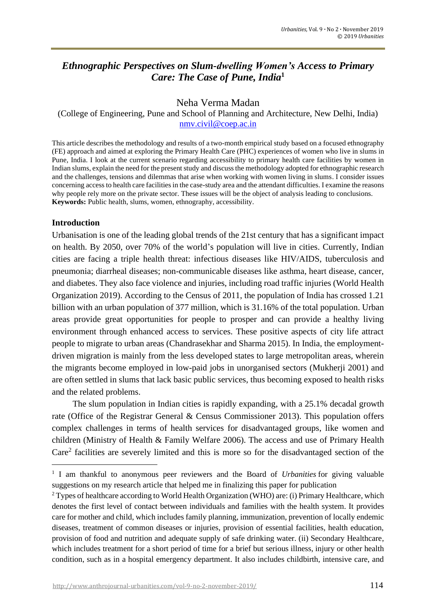# *Ethnographic Perspectives on Slum-dwelling Women's Access to Primary Care: The Case of Pune, India***<sup>1</sup>**

## Neha Verma Madan

(College of Engineering, Pune and School of Planning and Architecture, New Delhi, India) [nmv.civil@coep.ac.in](mailto:nmv.civil@coep.ac.in)

This article describes the methodology and results of a two-month empirical study based on a focused ethnography (FE) approach and aimed at exploring the Primary Health Care (PHC) experiences of women who live in slums in Pune, India. I look at the current scenario regarding accessibility to primary health care facilities by women in Indian slums, explain the need for the present study and discuss the methodology adopted for ethnographic research and the challenges, tensions and dilemmas that arise when working with women living in slums. I consider issues concerning access to health care facilities in the case-study area and the attendant difficulties. I examine the reasons why people rely more on the private sector. These issues will be the object of analysis leading to conclusions. **Keywords:** Public health, slums, women, ethnography, accessibility.

## **Introduction**

Urbanisation is one of the leading global trends of the 21st century that has a significant impact on health. By 2050, over 70% of the world's population will live in cities. Currently, Indian cities are facing a triple health threat: infectious diseases like HIV/AIDS, tuberculosis and pneumonia; diarrheal diseases; non-communicable diseases like asthma, heart disease, cancer, and diabetes. They also face violence and injuries, including road traffic injuries (World Health Organization 2019). According to the Census of 2011, the population of India has crossed 1.21 billion with an urban population of 377 million, which is 31.16% of the total population. Urban areas provide great opportunities for people to prosper and can provide a healthy living environment through enhanced access to services. These positive aspects of city life attract people to migrate to urban areas (Chandrasekhar and Sharma 2015). In India, the employmentdriven migration is mainly from the less developed states to large metropolitan areas, wherein the migrants become employed in low-paid jobs in unorganised sectors (Mukherji 2001) and are often settled in slums that lack basic public services, thus becoming exposed to health risks and the related problems.

The slum population in Indian cities is rapidly expanding, with a 25.1% decadal growth rate (Office of the Registrar General & Census Commissioner 2013). This population offers complex challenges in terms of health services for disadvantaged groups, like women and children (Ministry of Health & Family Welfare 2006). The access and use of Primary Health Care<sup>2</sup> facilities are severely limited and this is more so for the disadvantaged section of the

<sup>1</sup> I am thankful to anonymous peer reviewers and the Board of *Urbanities* for giving valuable suggestions on my research article that helped me in finalizing this paper for publication

<sup>2</sup> Types of healthcare according to World Health Organization (WHO) are: (i) Primary Healthcare, which denotes the first level of contact between individuals and families with the health system. It provides care for mother and child, which includes family planning, immunization, prevention of locally endemic diseases, treatment of common diseases or injuries, provision of essential facilities, health education, provision of food and nutrition and adequate supply of safe drinking water. (ii) Secondary Healthcare, which includes treatment for a short period of time for a brief but serious illness, injury or other health condition, such as in a hospital emergency department. It also includes childbirth, intensive care, and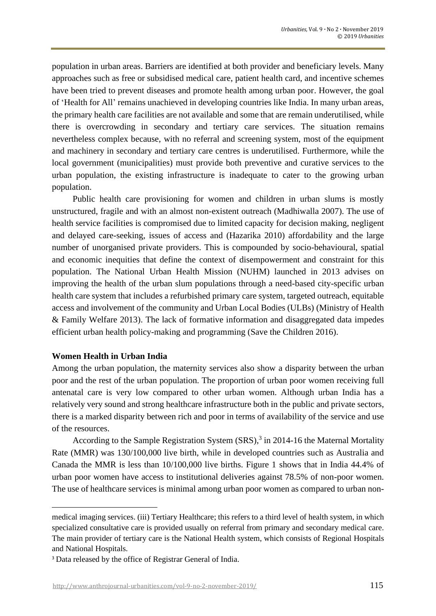population in urban areas. Barriers are identified at both provider and beneficiary levels. Many approaches such as free or subsidised medical care, patient health card, and incentive schemes have been tried to prevent diseases and promote health among urban poor. However, the goal of 'Health for All' remains unachieved in developing countries like India. In many urban areas, the primary health care facilities are not available and some that are remain underutilised, while there is overcrowding in secondary and tertiary care services. The situation remains nevertheless complex because, with no referral and screening system, most of the equipment and machinery in secondary and tertiary care centres is underutilised. Furthermore, while the local government (municipalities) must provide both preventive and curative services to the urban population, the existing infrastructure is inadequate to cater to the growing urban population.

Public health care provisioning for women and children in urban slums is mostly unstructured, fragile and with an almost non-existent outreach (Madhiwalla 2007). The use of health service facilities is compromised due to limited capacity for decision making, negligent and delayed care-seeking, issues of access and (Hazarika 2010) affordability and the large number of unorganised private providers. This is compounded by socio-behavioural, spatial and economic inequities that define the context of disempowerment and constraint for this population. The National Urban Health Mission (NUHM) launched in 2013 advises on improving the health of the urban slum populations through a need-based city-specific urban health care system that includes a refurbished primary care system, targeted outreach, equitable access and involvement of the community and Urban Local Bodies (ULBs) (Ministry of Health & Family Welfare 2013). The lack of formative information and disaggregated data impedes efficient urban health policy-making and programming (Save the Children 2016).

#### **Women Health in Urban India**

Among the urban population, the maternity services also show a disparity between the urban poor and the rest of the urban population. The proportion of urban poor women receiving full antenatal care is very low compared to other urban women. Although urban India has a relatively very sound and strong healthcare infrastructure both in the public and private sectors, there is a marked disparity between rich and poor in terms of availability of the service and use of the resources.

According to the Sample Registration System (SRS), 3 in 2014-16 the Maternal Mortality Rate (MMR) was 130/100,000 live birth, while in developed countries such as Australia and Canada the MMR is less than 10/100,000 live births. Figure 1 shows that in India 44.4% of urban poor women have access to institutional deliveries against 78.5% of non-poor women. The use of healthcare services is minimal among urban poor women as compared to urban non-

medical imaging services. (iii) Tertiary Healthcare; this refers to a third level of health system, in which specialized consultative care is provided usually on referral from primary and secondary medical care. The main provider of tertiary care is the National Health system, which consists of Regional Hospitals and National Hospitals.

<sup>3</sup> Data released by the office of Registrar General of India.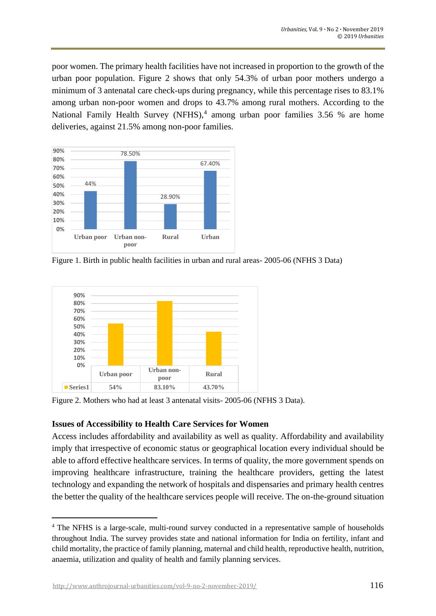poor women. The primary health facilities have not increased in proportion to the growth of the urban poor population. Figure 2 shows that only 54.3% of urban poor mothers undergo a minimum of 3 antenatal care check-ups during pregnancy, while this percentage rises to 83.1% among urban non-poor women and drops to 43.7% among rural mothers. According to the National Family Health Survey (NFHS), $4$  among urban poor families 3.56 % are home deliveries, against 21.5% among non-poor families.



Figure 1. Birth in public health facilities in urban and rural areas- 2005-06 (NFHS 3 Data)



Figure 2. Mothers who had at least 3 antenatal visits- 2005-06 (NFHS 3 Data).

## **Issues of Accessibility to Health Care Services for Women**

Access includes affordability and availability as well as quality. Affordability and availability imply that irrespective of economic status or geographical location every individual should be able to afford effective healthcare services. In terms of quality, the more government spends on improving healthcare infrastructure, training the healthcare providers, getting the latest technology and expanding the network of hospitals and dispensaries and primary health centres the better the quality of the healthcare services people will receive. The on-the-ground situation

<sup>4</sup> The NFHS is a large-scale, multi-round survey conducted in a representative sample of households throughout India. The survey provides state and national information for India on fertility, infant and child mortality, the practice of family planning, maternal and child health, reproductive health, nutrition, anaemia, utilization and quality of health and family planning services.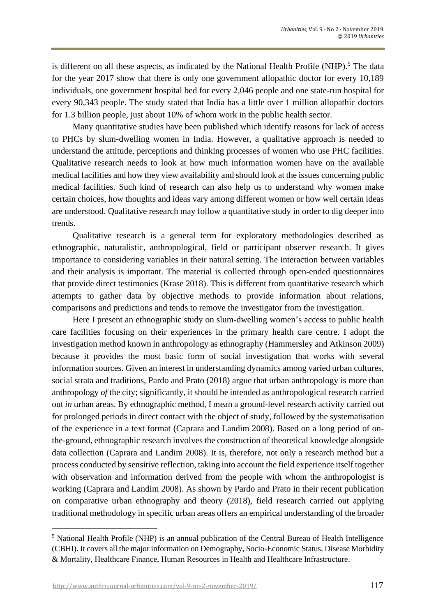is different on all these aspects, as indicated by the National Health Profile (NHP).<sup>5</sup> The data for the year 2017 show that there is only one government allopathic doctor for every 10,189 individuals, one government hospital bed for every 2,046 people and one state-run hospital for every 90,343 people. The study stated that India has a little over 1 million allopathic doctors for 1.3 billion people, just about 10% of whom work in the public health sector.

Many quantitative studies have been published which identify reasons for lack of access to PHCs by slum-dwelling women in India. However, a qualitative approach is needed to understand the attitude, perceptions and thinking processes of women who use PHC facilities. Qualitative research needs to look at how much information women have on the available medical facilities and how they view availability and should look at the issues concerning public medical facilities. Such kind of research can also help us to understand why women make certain choices, how thoughts and ideas vary among different women or how well certain ideas are understood. Qualitative research may follow a quantitative study in order to dig deeper into trends.

Qualitative research is a general term for exploratory methodologies described as ethnographic, naturalistic, anthropological, field or participant observer research. It gives importance to considering variables in their natural setting. The interaction between variables and their analysis is important. The material is collected through open-ended questionnaires that provide direct testimonies (Krase 2018). This is different from quantitative research which attempts to gather data by objective methods to provide information about relations, comparisons and predictions and tends to remove the investigator from the investigation.

Here I present an ethnographic study on slum-dwelling women's access to public health care facilities focusing on their experiences in the primary health care centre. I adopt the investigation method known in anthropology as ethnography (Hammersley and Atkinson 2009) because it provides the most basic form of social investigation that works with several information sources. Given an interest in understanding dynamics among varied urban cultures, social strata and traditions, Pardo and Prato (2018) argue that urban anthropology is more than anthropology *of* the city; significantly, it should be intended as anthropological research carried out *in* urban areas. By ethnographic method, I mean a ground-level research activity carried out for prolonged periods in direct contact with the object of study, followed by the systematisation of the experience in a text format (Caprara and Landim 2008). Based on a long period of onthe-ground, ethnographic research involves the construction of theoretical knowledge alongside data collection (Caprara and Landim 2008). It is, therefore, not only a research method but a process conducted by sensitive reflection, taking into account the field experience itself together with observation and information derived from the people with whom the anthropologist is working (Caprara and Landim 2008). As shown by Pardo and Prato in their recent publication on comparative urban ethnography and theory (2018), field research carried out applying traditional methodology in specific urban areas offers an empirical understanding of the broader

<sup>5</sup> National Health Profile (NHP) is an annual publication of the Central Bureau of Health Intelligence (CBHI). It covers all the major information on Demography, Socio-Economic Status, Disease Morbidity & Mortality, Healthcare Finance, Human Resources in Health and Healthcare Infrastructure.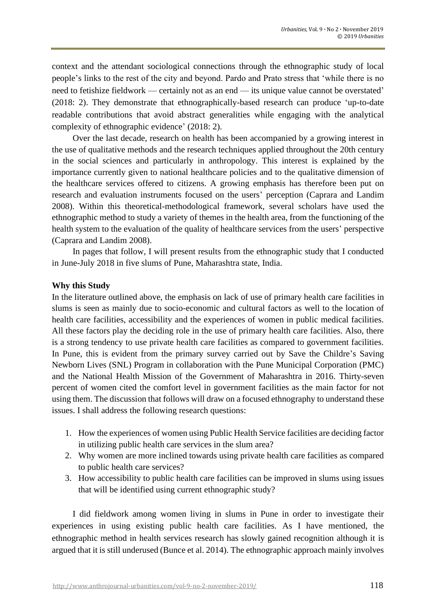context and the attendant sociological connections through the ethnographic study of local people's links to the rest of the city and beyond. Pardo and Prato stress that 'while there is no need to fetishize fieldwork — certainly not as an end — its unique value cannot be overstated' (2018: 2). They demonstrate that ethnographically-based research can produce 'up-to-date readable contributions that avoid abstract generalities while engaging with the analytical complexity of ethnographic evidence' (2018: 2).

Over the last decade, research on health has been accompanied by a growing interest in the use of qualitative methods and the research techniques applied throughout the 20th century in the social sciences and particularly in anthropology. This interest is explained by the importance currently given to national healthcare policies and to the qualitative dimension of the healthcare services offered to citizens. A growing emphasis has therefore been put on research and evaluation instruments focused on the users' perception (Caprara and Landim 2008). Within this theoretical-methodological framework, several scholars have used the ethnographic method to study a variety of themes in the health area, from the functioning of the health system to the evaluation of the quality of healthcare services from the users' perspective (Caprara and Landim 2008).

In pages that follow, I will present results from the ethnographic study that I conducted in June-July 2018 in five slums of Pune, Maharashtra state, India.

## **Why this Study**

In the literature outlined above, the emphasis on lack of use of primary health care facilities in slums is seen as mainly due to socio-economic and cultural factors as well to the location of health care facilities, accessibility and the experiences of women in public medical facilities. All these factors play the deciding role in the use of primary health care facilities. Also, there is a strong tendency to use private health care facilities as compared to government facilities. In Pune, this is evident from the primary survey carried out by Save the Childre's Saving Newborn Lives (SNL) Program in collaboration with the Pune Municipal Corporation (PMC) and the National Health Mission of the Government of Maharashtra in 2016. Thirty-seven percent of women cited the comfort level in government facilities as the main factor for not using them. The discussion that follows will draw on a focused ethnography to understand these issues. I shall address the following research questions:

- 1. How the experiences of women using Public Health Service facilities are deciding factor in utilizing public health care services in the slum area?
- 2. Why women are more inclined towards using private health care facilities as compared to public health care services?
- 3. How accessibility to public health care facilities can be improved in slums using issues that will be identified using current ethnographic study?

I did fieldwork among women living in slums in Pune in order to investigate their experiences in using existing public health care facilities. As I have mentioned, the ethnographic method in health services research has slowly gained recognition although it is argued that it is still underused (Bunce et al. 2014). The ethnographic approach mainly involves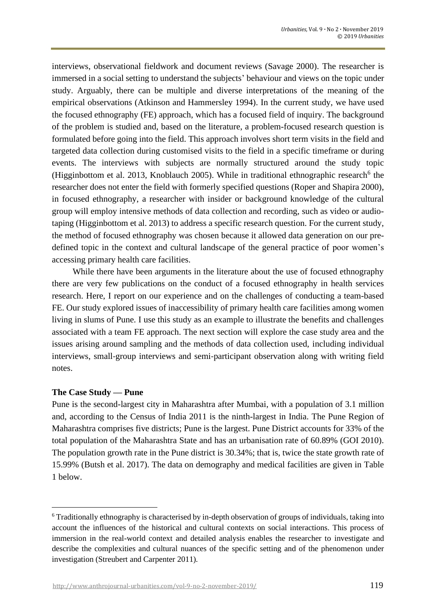interviews, observational fieldwork and document reviews (Savage 2000). The researcher is immersed in a social setting to understand the subjects' behaviour and views on the topic under study. Arguably, there can be multiple and diverse interpretations of the meaning of the empirical observations (Atkinson and Hammersley 1994). In the current study, we have used the focused ethnography (FE) approach, which has a focused field of inquiry. The background of the problem is studied and, based on the literature, a problem-focused research question is formulated before going into the field. This approach involves short term visits in the field and targeted data collection during customised visits to the field in a specific timeframe or during events. The interviews with subjects are normally structured around the study topic (Higginbottom et al. 2013, Knoblauch 2005). While in traditional ethnographic research<sup>6</sup> the researcher does not enter the field with formerly specified questions (Roper and Shapira 2000), in focused ethnography, a researcher with insider or background knowledge of the cultural group will employ intensive methods of data collection and recording, such as video or audiotaping (Higginbottom et al. 2013) to address a specific research question. For the current study, the method of focused ethnography was chosen because it allowed data generation on our predefined topic in the context and cultural landscape of the general practice of poor women's accessing primary health care facilities.

While there have been arguments in the literature about the use of focused ethnography there are very few publications on the conduct of a focused ethnography in health services research. Here, I report on our experience and on the challenges of conducting a team-based FE. Our study explored issues of inaccessibility of primary health care facilities among women living in slums of Pune. I use this study as an example to illustrate the benefits and challenges associated with a team FE approach. The next section will explore the case study area and the issues arising around sampling and the methods of data collection used, including individual interviews, small‐group interviews and semi‐participant observation along with writing field notes.

## **The Case Study — Pune**

Pune is the second-largest city in Maharashtra after Mumbai, with a population of 3.1 million and, according to the Census of India 2011 is the ninth-largest in India. The Pune Region of Maharashtra comprises five districts; Pune is the largest. Pune District accounts for 33% of the total population of the Maharashtra State and has an urbanisation rate of 60.89% (GOI 2010). The population growth rate in the Pune district is 30.34%; that is, twice the state growth rate of 15.99% (Butsh et al. 2017). The data on demography and medical facilities are given in Table 1 below.

<http://www.anthrojournal-urbanities.com/vol-9-no-2-november-2019/> 119

<sup>6</sup> Traditionally ethnography is characterised by in-depth observation of groups of individuals, taking into account the influences of the historical and cultural contexts on social interactions. This process of immersion in the real-world context and detailed analysis enables the researcher to investigate and describe the complexities and cultural nuances of the specific setting and of the phenomenon under investigation (Streubert and Carpenter 2011)*.*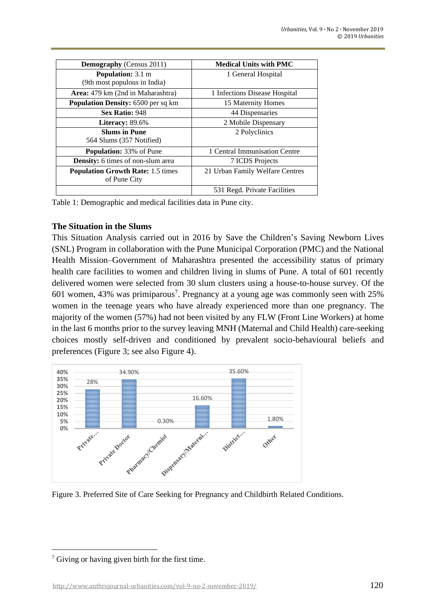| <b>Demography</b> (Census 2011)                          | <b>Medical Units with PMC</b>   |
|----------------------------------------------------------|---------------------------------|
| <b>Population:</b> 3.1 m<br>(9th most populous in India) | 1 General Hospital              |
| <b>Area:</b> 479 km (2nd in Maharashtra)                 | 1 Infections Disease Hospital   |
| <b>Population Density: 6500 per sq km</b>                | 15 Maternity Homes              |
| Sex Ratio: 948                                           | 44 Dispensaries                 |
| Literacy: $89.6\%$                                       | 2 Mobile Dispensary             |
| <b>Slums in Pune</b><br>564 Slums (357 Notified)         | 2 Polyclinics                   |
| <b>Population:</b> 33% of Pune                           | 1 Central Immunisation Centre   |
| <b>Density:</b> 6 times of non-slum area                 | 7 ICDS Projects                 |
| <b>Population Growth Rate: 1.5 times</b><br>of Pune City | 21 Urban Family Welfare Centres |
|                                                          | 531 Regd. Private Facilities    |

Table 1: Demographic and medical facilities data in Pune city.

### **The Situation in the Slums**

This Situation Analysis carried out in 2016 by Save the Children's Saving Newborn Lives (SNL) Program in collaboration with the Pune Municipal Corporation (PMC) and the National Health Mission–Government of Maharashtra presented the accessibility status of primary health care facilities to women and children living in slums of Pune. A total of 601 recently delivered women were selected from 30 slum clusters using a house-to-house survey. Of the 601 women, 43% was primiparous<sup>7</sup>. Pregnancy at a young age was commonly seen with  $25%$ women in the teenage years who have already experienced more than one pregnancy. The majority of the women (57%) had not been visited by any FLW (Front Line Workers) at home in the last 6 months prior to the survey leaving MNH (Maternal and Child Health) care-seeking choices mostly self-driven and conditioned by prevalent socio-behavioural beliefs and preferences (Figure 3; see also Figure 4).



Figure 3. Preferred Site of Care Seeking for Pregnancy and Childbirth Related Conditions.

<sup>&</sup>lt;sup>7</sup> Giving or having given birth for the first time.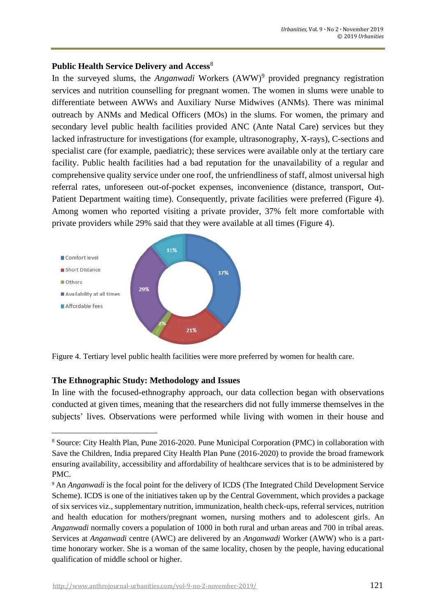#### Public Health Service Delivery and Access<sup>8</sup>

In the surveyed slums, the *Anganwadi* Workers (AWW) 9 provided pregnancy registration services and nutrition counselling for pregnant women. The women in slums were unable to differentiate between AWWs and Auxiliary Nurse Midwives (ANMs). There was minimal outreach by ANMs and Medical Officers (MOs) in the slums. For women, the primary and secondary level public health facilities provided ANC (Ante Natal Care) services but they lacked infrastructure for investigations (for example, ultrasonography, X-rays), C-sections and specialist care (for example, paediatric); these services were available only at the tertiary care facility. Public health facilities had a bad reputation for the unavailability of a regular and comprehensive quality service under one roof, the unfriendliness of staff, almost universal high referral rates, unforeseen out-of-pocket expenses, inconvenience (distance, transport, Out-Patient Department waiting time). Consequently, private facilities were preferred (Figure 4). Among women who reported visiting a private provider, 37% felt more comfortable with private providers while 29% said that they were available at all times (Figure 4).



Figure 4. Tertiary level public health facilities were more preferred by women for health care.

#### **The Ethnographic Study: Methodology and Issues**

In line with the focused-ethnography approach, our data collection began with observations conducted at given times, meaning that the researchers did not fully immerse themselves in the subjects' lives. Observations were performed while living with women in their house and

<sup>8</sup> Source: City Health Plan, Pune 2016-2020. Pune Municipal Corporation (PMC) in collaboration with Save the Children, India prepared City Health Plan Pune (2016-2020) to provide the broad framework ensuring availability, accessibility and affordability of healthcare services that is to be administered by PMC.

<sup>&</sup>lt;sup>9</sup> An *Anganwadi* is the focal point for the delivery of ICDS (The Integrated Child Development Service Scheme). ICDS is one of the initiatives taken up by the Central Government, which provides a package of six services viz., supplementary nutrition, immunization, health check-ups, referral services, nutrition and health education for mothers/pregnant women, nursing mothers and to adolescent girls. An *Anganwadi* normally covers a population of 1000 in both rural and urban areas and 700 in tribal areas. Services at *Anganwadi* centre (AWC) are delivered by an *Anganwadi* Worker (AWW) who is a parttime honorary worker. She is a woman of the same locality, chosen by the people, having educational qualification of middle school or higher.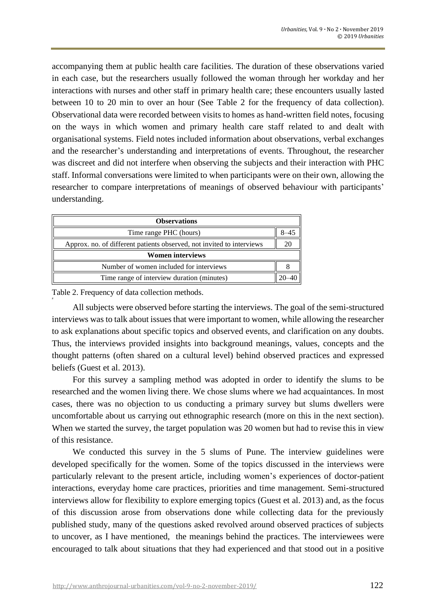accompanying them at public health care facilities. The duration of these observations varied in each case, but the researchers usually followed the woman through her workday and her interactions with nurses and other staff in primary health care; these encounters usually lasted between 10 to 20 min to over an hour (See Table 2 for the frequency of data collection). Observational data were recorded between visits to homes as hand-written field notes, focusing on the ways in which women and primary health care staff related to and dealt with organisational systems. Field notes included information about observations, verbal exchanges and the researcher's understanding and interpretations of events. Throughout, the researcher was discreet and did not interfere when observing the subjects and their interaction with PHC staff. Informal conversations were limited to when participants were on their own, allowing the researcher to compare interpretations of meanings of observed behaviour with participants' understanding.

| <b>Observations</b>                                                   |  |  |
|-----------------------------------------------------------------------|--|--|
| Time range PHC (hours)                                                |  |  |
| Approx. no. of different patients observed, not invited to interviews |  |  |
| <b>Women interviews</b>                                               |  |  |
| Number of women included for interviews                               |  |  |
| Time range of interview duration (minutes)                            |  |  |

Table 2. Frequency of data collection methods.

#

All subjects were observed before starting the interviews. The goal of the semi-structured interviews was to talk about issues that were important to women, while allowing the researcher to ask explanations about specific topics and observed events, and clarification on any doubts. Thus, the interviews provided insights into background meanings, values, concepts and the thought patterns (often shared on a cultural level) behind observed practices and expressed beliefs (Guest et al. 2013).

For this survey a sampling method was adopted in order to identify the slums to be researched and the women living there. We chose slums where we had acquaintances. In most cases, there was no objection to us conducting a primary survey but slums dwellers were uncomfortable about us carrying out ethnographic research (more on this in the next section). When we started the survey, the target population was 20 women but had to revise this in view of this resistance.

We conducted this survey in the 5 slums of Pune. The interview guidelines were developed specifically for the women. Some of the topics discussed in the interviews were particularly relevant to the present article, including women's experiences of doctor-patient interactions, everyday home care practices, priorities and time management. Semi-structured interviews allow for flexibility to explore emerging topics (Guest et al. 2013) and, as the focus of this discussion arose from observations done while collecting data for the previously published study, many of the questions asked revolved around observed practices of subjects to uncover, as I have mentioned, the meanings behind the practices. The interviewees were encouraged to talk about situations that they had experienced and that stood out in a positive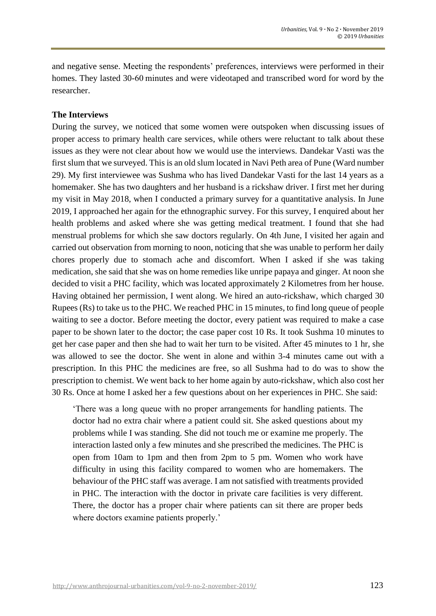and negative sense. Meeting the respondents' preferences, interviews were performed in their homes. They lasted 30-60 minutes and were videotaped and transcribed word for word by the researcher.

### **The Interviews**

During the survey, we noticed that some women were outspoken when discussing issues of proper access to primary health care services, while others were reluctant to talk about these issues as they were not clear about how we would use the interviews. Dandekar Vasti was the first slum that we surveyed. This is an old slum located in Navi Peth area of Pune (Ward number 29). My first interviewee was Sushma who has lived Dandekar Vasti for the last 14 years as a homemaker. She has two daughters and her husband is a rickshaw driver. I first met her during my visit in May 2018, when I conducted a primary survey for a quantitative analysis. In June 2019, I approached her again for the ethnographic survey. For this survey, I enquired about her health problems and asked where she was getting medical treatment. I found that she had menstrual problems for which she saw doctors regularly. On 4th June, I visited her again and carried out observation from morning to noon, noticing that she was unable to perform her daily chores properly due to stomach ache and discomfort. When I asked if she was taking medication, she said that she was on home remedies like unripe papaya and ginger. At noon she decided to visit a PHC facility, which was located approximately 2 Kilometres from her house. Having obtained her permission, I went along. We hired an auto-rickshaw, which charged 30 Rupees (Rs) to take us to the PHC. We reached PHC in 15 minutes, to find long queue of people waiting to see a doctor. Before meeting the doctor, every patient was required to make a case paper to be shown later to the doctor; the case paper cost 10 Rs. It took Sushma 10 minutes to get her case paper and then she had to wait her turn to be visited. After 45 minutes to 1 hr, she was allowed to see the doctor. She went in alone and within 3-4 minutes came out with a prescription. In this PHC the medicines are free, so all Sushma had to do was to show the prescription to chemist. We went back to her home again by auto-rickshaw, which also cost her 30 Rs. Once at home I asked her a few questions about on her experiences in PHC. She said:

'There was a long queue with no proper arrangements for handling patients. The doctor had no extra chair where a patient could sit. She asked questions about my problems while I was standing. She did not touch me or examine me properly. The interaction lasted only a few minutes and she prescribed the medicines. The PHC is open from 10am to 1pm and then from 2pm to 5 pm. Women who work have difficulty in using this facility compared to women who are homemakers. The behaviour of the PHC staff was average. I am not satisfied with treatments provided in PHC. The interaction with the doctor in private care facilities is very different. There, the doctor has a proper chair where patients can sit there are proper beds where doctors examine patients properly.'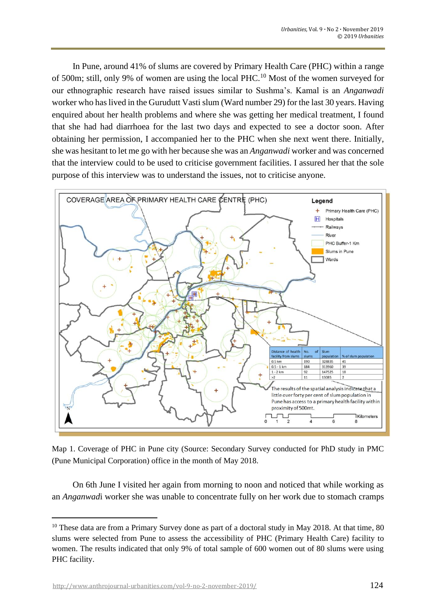In Pune, around 41% of slums are covered by Primary Health Care (PHC) within a range of 500m; still, only 9% of women are using the local PHC.<sup>10</sup> Most of the women surveyed for our ethnographic research have raised issues similar to Sushma's. Kamal is an *Anganwadi* worker who has lived in the Gurudutt Vasti slum (Ward number 29) for the last 30 years. Having enquired about her health problems and where she was getting her medical treatment, I found that she had had diarrhoea for the last two days and expected to see a doctor soon. After obtaining her permission, I accompanied her to the PHC when she next went there. Initially, she was hesitant to let me go with her because she was an *Anganwadi* worker and was concerned that the interview could to be used to criticise government facilities. I assured her that the sole purpose of this interview was to understand the issues, not to criticise anyone.



Map 1. Coverage of PHC in Pune city (Source: Secondary Survey conducted for PhD study in PMC (Pune Municipal Corporation) office in the month of May 2018.

On 6th June I visited her again from morning to noon and noticed that while working as an *Anganwad*i worker she was unable to concentrate fully on her work due to stomach cramps

<sup>&</sup>lt;sup>10</sup> These data are from a Primary Survey done as part of a doctoral study in May 2018. At that time, 80 slums were selected from Pune to assess the accessibility of PHC (Primary Health Care) facility to women. The results indicated that only 9% of total sample of 600 women out of 80 slums were using PHC facility.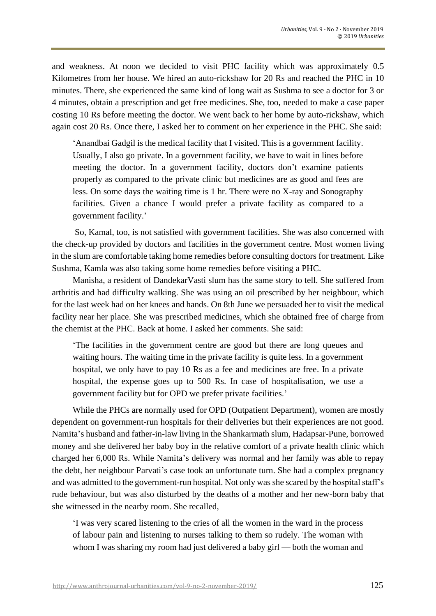and weakness. At noon we decided to visit PHC facility which was approximately 0.5 Kilometres from her house. We hired an auto-rickshaw for 20 Rs and reached the PHC in 10 minutes. There, she experienced the same kind of long wait as Sushma to see a doctor for 3 or 4 minutes, obtain a prescription and get free medicines. She, too, needed to make a case paper costing 10 Rs before meeting the doctor. We went back to her home by auto-rickshaw, which again cost 20 Rs. Once there, I asked her to comment on her experience in the PHC. She said:

'Anandbai Gadgil is the medical facility that I visited. This is a government facility. Usually, I also go private. In a government facility, we have to wait in lines before meeting the doctor. In a government facility, doctors don't examine patients properly as compared to the private clinic but medicines are as good and fees are less. On some days the waiting time is 1 hr. There were no X-ray and Sonography facilities. Given a chance I would prefer a private facility as compared to a government facility.'

So, Kamal, too, is not satisfied with government facilities. She was also concerned with the check-up provided by doctors and facilities in the government centre. Most women living in the slum are comfortable taking home remedies before consulting doctors for treatment. Like Sushma, Kamla was also taking some home remedies before visiting a PHC.

Manisha, a resident of DandekarVasti slum has the same story to tell. She suffered from arthritis and had difficulty walking. She was using an oil prescribed by her neighbour, which for the last week had on her knees and hands. On 8th June we persuaded her to visit the medical facility near her place. She was prescribed medicines, which she obtained free of charge from the chemist at the PHC. Back at home. I asked her comments. She said:

'The facilities in the government centre are good but there are long queues and waiting hours. The waiting time in the private facility is quite less. In a government hospital, we only have to pay 10 Rs as a fee and medicines are free. In a private hospital, the expense goes up to 500 Rs. In case of hospitalisation, we use a government facility but for OPD we prefer private facilities.'

While the PHCs are normally used for OPD (Outpatient Department), women are mostly dependent on government-run hospitals for their deliveries but their experiences are not good. Namita's husband and father-in-law living in the Shankarmath slum, Hadapsar-Pune, borrowed money and she delivered her baby boy in the relative comfort of a private health clinic which charged her 6,000 Rs. While Namita's delivery was normal and her family was able to repay the debt, her neighbour Parvati's case took an unfortunate turn. She had a complex pregnancy and was admitted to the government-run hospital. Not only was she scared by the hospital staff's rude behaviour, but was also disturbed by the deaths of a mother and her new-born baby that she witnessed in the nearby room. She recalled,

'I was very scared listening to the cries of all the women in the ward in the process of labour pain and listening to nurses talking to them so rudely. The woman with whom I was sharing my room had just delivered a baby girl — both the woman and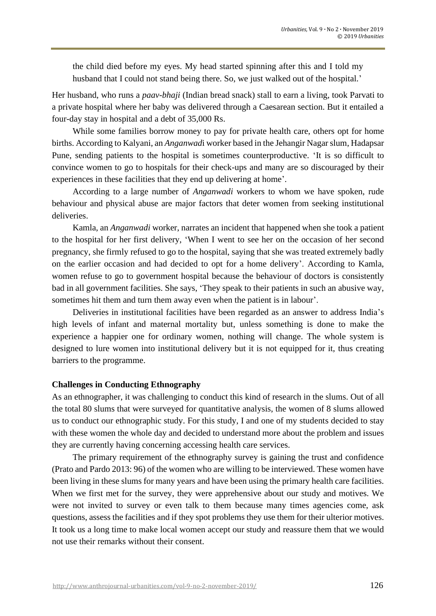the child died before my eyes. My head started spinning after this and I told my husband that I could not stand being there. So, we just walked out of the hospital.'

Her husband, who runs a *paav-bhaji* (Indian bread snack) stall to earn a living, took Parvati to a private hospital where her baby was delivered through a Caesarean section. But it entailed a four-day stay in hospital and a debt of 35,000 Rs.

While some families borrow money to pay for private health care, others opt for home births. According to Kalyani, an *Anganwad*i worker based in the Jehangir Nagar slum, Hadapsar Pune, sending patients to the hospital is sometimes counterproductive. 'It is so difficult to convince women to go to hospitals for their check-ups and many are so discouraged by their experiences in these facilities that they end up delivering at home'.

According to a large number of *Anganwadi* workers to whom we have spoken, rude behaviour and physical abuse are major factors that deter women from seeking institutional deliveries.

Kamla, an *Anganwadi* worker, narrates an incident that happened when she took a patient to the hospital for her first delivery, 'When I went to see her on the occasion of her second pregnancy, she firmly refused to go to the hospital, saying that she was treated extremely badly on the earlier occasion and had decided to opt for a home delivery'. According to Kamla, women refuse to go to government hospital because the behaviour of doctors is consistently bad in all government facilities. She says, 'They speak to their patients in such an abusive way, sometimes hit them and turn them away even when the patient is in labour'.

Deliveries in institutional facilities have been regarded as an answer to address India's high levels of infant and maternal mortality but, unless something is done to make the experience a happier one for ordinary women, nothing will change. The whole system is designed to lure women into institutional delivery but it is not equipped for it, thus creating barriers to the programme.

## **Challenges in Conducting Ethnography**

As an ethnographer, it was challenging to conduct this kind of research in the slums. Out of all the total 80 slums that were surveyed for quantitative analysis, the women of 8 slums allowed us to conduct our ethnographic study. For this study, I and one of my students decided to stay with these women the whole day and decided to understand more about the problem and issues they are currently having concerning accessing health care services.

The primary requirement of the ethnography survey is gaining the trust and confidence (Prato and Pardo 2013: 96) of the women who are willing to be interviewed. These women have been living in these slums for many years and have been using the primary health care facilities. When we first met for the survey, they were apprehensive about our study and motives. We were not invited to survey or even talk to them because many times agencies come, ask questions, assess the facilities and if they spot problems they use them for their ulterior motives. It took us a long time to make local women accept our study and reassure them that we would not use their remarks without their consent.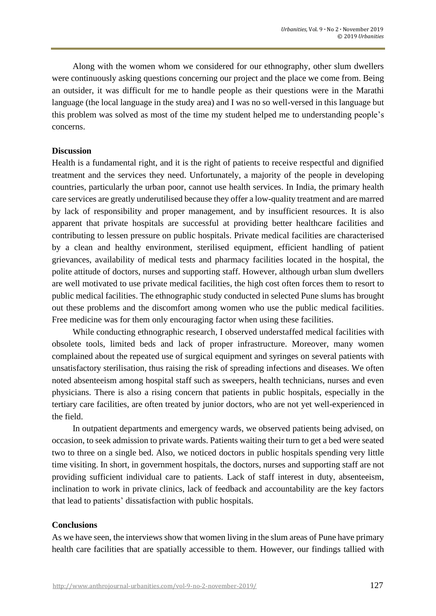Along with the women whom we considered for our ethnography, other slum dwellers were continuously asking questions concerning our project and the place we come from. Being an outsider, it was difficult for me to handle people as their questions were in the Marathi language (the local language in the study area) and I was no so well-versed in this language but this problem was solved as most of the time my student helped me to understanding people's concerns.

### **Discussion**

Health is a fundamental right, and it is the right of patients to receive respectful and dignified treatment and the services they need. Unfortunately, a majority of the people in developing countries, particularly the urban poor, cannot use health services. In India, the primary health care services are greatly underutilised because they offer a low-quality treatment and are marred by lack of responsibility and proper management, and by insufficient resources. It is also apparent that private hospitals are successful at providing better healthcare facilities and contributing to lessen pressure on public hospitals. Private medical facilities are characterised by a clean and healthy environment, sterilised equipment, efficient handling of patient grievances, availability of medical tests and pharmacy facilities located in the hospital, the polite attitude of doctors, nurses and supporting staff. However, although urban slum dwellers are well motivated to use private medical facilities, the high cost often forces them to resort to public medical facilities. The ethnographic study conducted in selected Pune slums has brought out these problems and the discomfort among women who use the public medical facilities. Free medicine was for them only encouraging factor when using these facilities.

While conducting ethnographic research, I observed understaffed medical facilities with obsolete tools, limited beds and lack of proper infrastructure. Moreover, many women complained about the repeated use of surgical equipment and syringes on several patients with unsatisfactory sterilisation, thus raising the risk of spreading infections and diseases. We often noted absenteeism among hospital staff such as sweepers, health technicians, nurses and even physicians. There is also a rising concern that patients in public hospitals, especially in the tertiary care facilities, are often treated by junior doctors, who are not yet well-experienced in the field.

In outpatient departments and emergency wards, we observed patients being advised, on occasion, to seek admission to private wards. Patients waiting their turn to get a bed were seated two to three on a single bed. Also, we noticed doctors in public hospitals spending very little time visiting. In short, in government hospitals, the doctors, nurses and supporting staff are not providing sufficient individual care to patients. Lack of staff interest in duty, absenteeism, inclination to work in private clinics, lack of feedback and accountability are the key factors that lead to patients' dissatisfaction with public hospitals.

## **Conclusions**

As we have seen, the interviews show that women living in the slum areas of Pune have primary health care facilities that are spatially accessible to them. However, our findings tallied with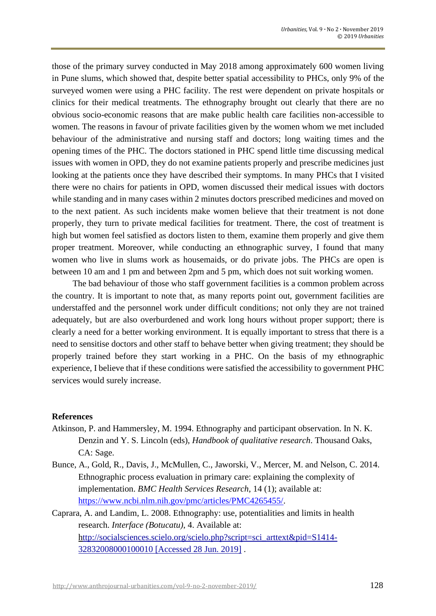those of the primary survey conducted in May 2018 among approximately 600 women living in Pune slums, which showed that, despite better spatial accessibility to PHCs, only 9% of the surveyed women were using a PHC facility. The rest were dependent on private hospitals or clinics for their medical treatments. The ethnography brought out clearly that there are no obvious socio-economic reasons that are make public health care facilities non-accessible to women. The reasons in favour of private facilities given by the women whom we met included behaviour of the administrative and nursing staff and doctors; long waiting times and the opening times of the PHC. The doctors stationed in PHC spend little time discussing medical issues with women in OPD, they do not examine patients properly and prescribe medicines just looking at the patients once they have described their symptoms. In many PHCs that I visited there were no chairs for patients in OPD, women discussed their medical issues with doctors while standing and in many cases within 2 minutes doctors prescribed medicines and moved on to the next patient. As such incidents make women believe that their treatment is not done properly, they turn to private medical facilities for treatment. There, the cost of treatment is high but women feel satisfied as doctors listen to them, examine them properly and give them proper treatment. Moreover, while conducting an ethnographic survey, I found that many women who live in slums work as housemaids, or do private jobs. The PHCs are open is between 10 am and 1 pm and between 2pm and 5 pm, which does not suit working women.

The bad behaviour of those who staff government facilities is a common problem across the country. It is important to note that, as many reports point out, government facilities are understaffed and the personnel work under difficult conditions; not only they are not trained adequately, but are also overburdened and work long hours without proper support; there is clearly a need for a better working environment. It is equally important to stress that there is a need to sensitise doctors and other staff to behave better when giving treatment; they should be properly trained before they start working in a PHC. On the basis of my ethnographic experience, I believe that if these conditions were satisfied the accessibility to government PHC services would surely increase.

#### **References**

- Atkinson, P. and Hammersley, M. 1994. Ethnography and participant observation. In N. K. Denzin and Y. S. Lincoln (eds), *Handbook of qualitative research*. Thousand Oaks, CA: Sage.
- Bunce, A., Gold, R., Davis, J., McMullen, C., Jaworski, V., Mercer, M. and Nelson, C. 2014. Ethnographic process evaluation in primary care: explaining the complexity of implementation. *BMC Health Services Research*, 14 (1); available at: [https://www.ncbi.nlm.nih.gov/pmc/articles/PMC4265455/.](https://www.ncbi.nlm.nih.gov/pmc/articles/PMC4265455/)
- Caprara, A. and Landim, L. 2008. Ethnography: use, potentialities and limits in health research. *Interface (Botucatu)*, 4. Available at: http://socialsciences.scielo.org/scielo.php?script=sci\_arttext&pid=S1414- 32832008000100010 [Accessed 28 Jun. 2019] .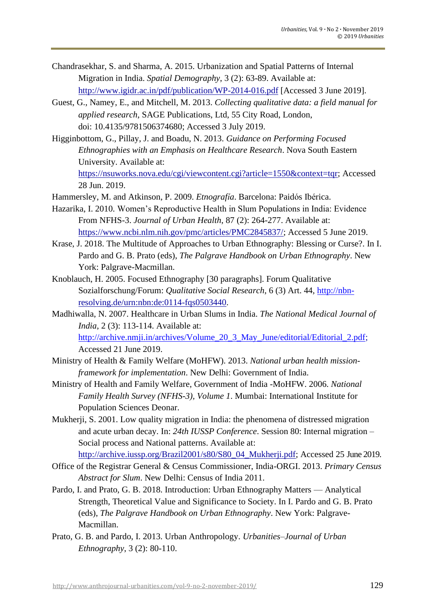- Chandrasekhar, S. and Sharma, A. 2015. Urbanization and Spatial Patterns of Internal Migration in India. *Spatial Demography*, 3 (2): 63-89. Available at: http://www.igidr.ac.in/pdf/publication/WP-2014-016.pdf [Accessed 3 June 2019].
- Guest, G., Namey, E., and Mitchell, M. 2013. *Collecting qualitative data: a field manual for applied research*, SAGE Publications, Ltd, 55 City Road, London, doi: 10.4135/9781506374680; Accessed 3 July 2019.
- Higginbottom, G., Pillay, J. and Boadu, N. 2013. *Guidance on Performing Focused Ethnographies with an Emphasis on Healthcare Research*. Nova South Eastern University. Available at: https://nsuworks.nova.edu/cgi/viewcontent.cgi?article=1550&context=tqr; Accessed 28 Jun. 2019.
- Hammersley, M. and Atkinson, P. 2009. *Etnografía*. Barcelona: Paidós Ibérica.
- Hazarika, I. 2010. Women's Reproductive Health in Slum Populations in India: Evidence From NFHS-3. *Journal of Urban Health*, 87 (2): 264-277. Available at: https://www.ncbi.nlm.nih.gov/pmc/articles/PMC2845837/; Accessed 5 June 2019.
- Krase, J. 2018. The Multitude of Approaches to Urban Ethnography: Blessing or Curse?. In I. Pardo and G. B. Prato (eds), *The Palgrave Handbook on Urban Ethnography*. New York: Palgrave-Macmillan.
- Knoblauch, H. 2005. Focused Ethnography [30 paragraphs]. Forum Qualitative Sozialforschung/Forum: *Qualitative Social Research*, 6 (3) Art. 44, [http://nbn](http://nbn-/)resolving.de/urn:nbn:de:0114-fqs0503440.
- Madhiwalla, N. 2007. Healthcare in Urban Slums in India. *The National Medical Journal of India*, 2(3): 113-114. Available at: [http://archive.nmji.in/archives/Volume\\_20\\_3\\_May\\_June/editorial/Editorial\\_2.pdf;](http://archive.nmji.in/archives/Volume_20_3_May_June/editorial/Editorial_2.pdf) Accessed 21 June 2019.
- Ministry of Health & Family Welfare (MoHFW). 2013. *National urban health missionframework for implementation*. New Delhi: Government of India.
- Ministry of Health and Family Welfare, Government of India -MoHFW. 2006. *National Family Health Survey (NFHS-3), Volume 1*. Mumbai: International Institute for Population Sciences Deonar.
- Mukherji, S. 2001. Low quality migration in India: the phenomena of distressed migration and acute urban decay. In: *24th IUSSP Conference*. Session 80: Internal migration – Social process and National patterns. Available at:

http://archive.iussp.org/Brazil2001/s80/S80\_04\_Mukherji.pdf; Accessed 25 June 2019.

- Office of the Registrar General & Census Commissioner, India-ORGI. 2013. *Primary Census Abstract for Slum*. New Delhi: Census of India 2011.
- Pardo, I. and Prato, G. B. 2018. Introduction: Urban Ethnography Matters Analytical Strength, Theoretical Value and Significance to Society. In I. Pardo and G. B. Prato (eds), *The Palgrave Handbook on Urban Ethnography*. New York: Palgrave-Macmillan.
- Prato, G. B. and Pardo, I. 2013. Urban Anthropology. *Urbanities–Journal of Urban Ethnography*, 3 (2): 80-110.